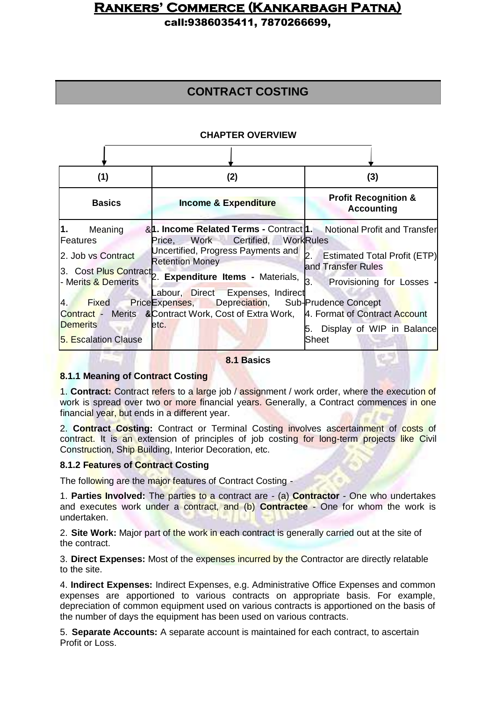call:9386035411, 7870266699,

## **CONTRACT COSTING**

### **CHAPTER OVERVIEW**

| (1)                                                           | (2)                                                                                                                                                                                                                                    | (3)                                                                   |
|---------------------------------------------------------------|----------------------------------------------------------------------------------------------------------------------------------------------------------------------------------------------------------------------------------------|-----------------------------------------------------------------------|
| <b>Basics</b>                                                 | <b>Income &amp; Expenditure</b>                                                                                                                                                                                                        | <b>Profit Recognition &amp;</b><br><b>Accounting</b>                  |
| 1.<br>Meaning<br>Features<br>2. Job vs Contract               | & 1. Income Related Terms - Contract 1. Notional Profit and Transfer<br>Work Certified, WorkRules<br>Price,<br>Uncertified, Progress Payments and<br><b>Retention Money</b><br>3. Cost Plus Contract 2. Expenditure Items - Materials, | b.<br><b>Estimated Total Profit (ETP)</b><br>and Transfer Rules<br>З. |
| 4.<br><b>Fixed</b><br><b>Demerits</b><br>5. Escalation Clause | abour, Direct Expenses, Indirect<br>Price Expenses, Depreciation, Sub-Prudence Concept<br>Contract - Merits & Contract Work, Cost of Extra Work, 4. Format of Contract Account<br>etc.                                                 | Provisioning for Losses -<br>Display of WIP in Balance<br>5.<br>Sheet |

#### **8.1 Basics**

### **8.1.1 Meaning of Contract Costing**

1. **Contract:** Contract refers to a large job / assignment / work order, where the execution of work is spread over two or more financial years. Generally, a Contract commences in one financial year, but ends in a different year.

2. **Contract Costing:** Contract or Terminal Costing involves ascertainment of costs of contract. It is an extension of principles of job costing for long-term projects like Civil Construction, Ship Building, Interior Decoration, etc.

### **8.1.2 Features of Contract Costing**

The following are the major features of Contract Costing -

1. **Parties Involved:** The parties to a contract are - (a) **Contractor** - One who undertakes and executes work under a contract, and (b) **Contractee** - One for whom the work is undertaken.

2. **Site Work:** Major part of the work in each contract is generally carried out at the site of the contract.

3. **Direct Expenses:** Most of the expenses incurred by the Contractor are directly relatable to the site.

4. **Indirect Expenses:** Indirect Expenses, e.g. Administrative Office Expenses and common expenses are apportioned to various contracts on appropriate basis. For example, depreciation of common equipment used on various contracts is apportioned on the basis of the number of days the equipment has been used on various contracts.

5. **Separate Accounts:** A separate account is maintained for each contract, to ascertain Profit or Loss.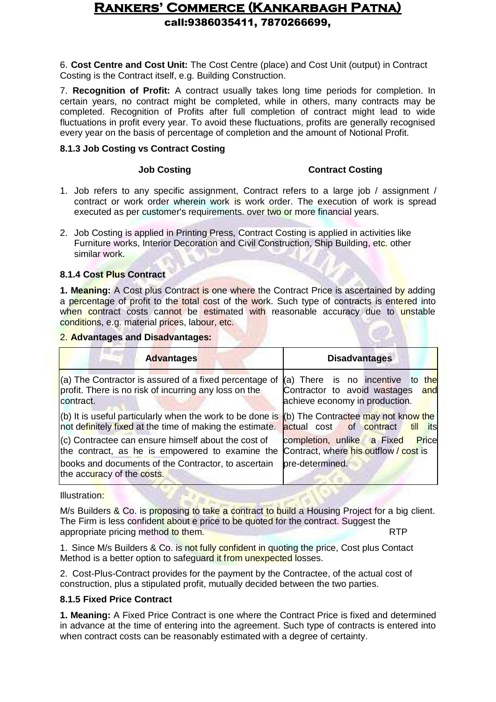6. **Cost Centre and Cost Unit:** The Cost Centre (place) and Cost Unit (output) in Contract Costing is the Contract itself, e.g. Building Construction.

7. **Recognition of Profit:** A contract usually takes long time periods for completion. In certain years, no contract might be completed, while in others, many contracts may be completed. Recognition of Profits after full completion of contract might lead to wide fluctuations in profit every year. To avoid these fluctuations, profits are generally recognised every year on the basis of percentage of completion and the amount of Notional Profit.

### **8.1.3 Job Costing vs Contract Costing**

### **Job Costing Contract Costing**

- 1. Job refers to any specific assignment, Contract refers to a large job / assignment / contract or work order wherein work is work order. The execution of work is spread executed as per customer's requirements. over two or more financial years.
- 2. Job Costing is applied in Printing Press, Contract Costing is applied in activities like Furniture works, Interior Decoration and Civil Construction, Ship Building, etc. other similar work.

### **8.1.4 Cost Plus Contract**

**1. Meaning:** A Cost plus Contract is one where the Contract Price is ascertained by adding a percentage of profit to the total cost of the work. Such type of contracts is entered into when contract costs cannot be estimated with reasonable accuracy due to unstable conditions, e.g. material prices, labour, etc.

### 2. **Advantages and Disadvantages:**

| <b>Advantages</b>                                                                                                            | <b>Disadvantages</b>                                                                                   |
|------------------------------------------------------------------------------------------------------------------------------|--------------------------------------------------------------------------------------------------------|
| (a) The Contractor is assured of a fixed percentage of<br>profit. There is no risk of incurring any loss on the<br>contract. | (a) There is no incentive to the<br>Contractor to avoid wastages and<br>achieve economy in production. |
| (b) It is useful particularly when the work to be done is<br>not definitely fixed at the time of making the estimate.        | (b) The Contractee may not know the<br>of contract<br>actual cost<br>till its                          |
| (c) Contractee can ensure himself about the cost of<br>the contract, as he is empowered to examine the                       | completion, unlike a Fixed<br><b>Price</b><br>Contract, where his outflow / cost is                    |
| books and documents of the Contractor, to ascertain<br>the accuracy of the costs.                                            | pre-determined.                                                                                        |

Illustration:

M/s Builders & Co. is proposing to take a contract to build a Housing Project for a big client. The Firm is less confident about e price to be quoted for the contract. Suggest the appropriate pricing method to them. **RTP** RTP

1. Since M/s Builders & Co. is not fully confident in quoting the price, Cost plus Contact Method is a better option to safeguard it from unexpected losses.

2. Cost-Plus-Contract provides for the payment by the Contractee, of the actual cost of construction, plus a stipulated profit, mutually decided between the two parties.

### **8.1.5 Fixed Price Contract**

**1. Meaning:** A Fixed Price Contract is one where the Contract Price is fixed and determined in advance at the time of entering into the agreement. Such type of contracts is entered into when contract costs can be reasonably estimated with a degree of certainty.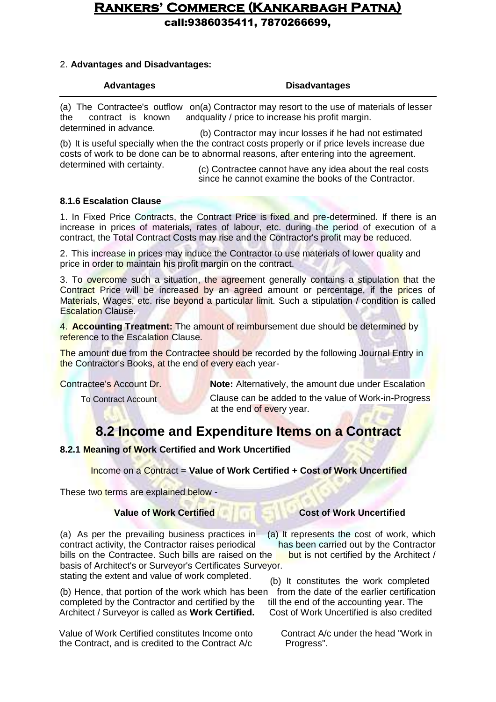call:9386035411, 7870266699,

### 2. **Advantages and Disadvantages:**

### **Advantages Disadvantages**

(a) The Contractee's outflow on(a) Contractor may resort to the use of materials of lesser the contract is known andquality / price to increase his profit margin.

determined in advance. (b) Contractor may incur losses if he had not estimated (b) It is useful specially when the the contract costs properly or if price levels increase due costs of work to be done can be to abnormal reasons, after entering into the agreement. determined with certainty.

(c) Contractee cannot have any idea about the real costs since he cannot examine the books of the Contractor.

### **8.1.6 Escalation Clause**

1. In Fixed Price Contracts, the Contract Price is fixed and pre-determined. If there is an increase in prices of materials, rates of labour, etc. during the period of execution of a contract, the Total Contract Costs may rise and the Contractor's profit may be reduced.

2. This increase in prices may induce the Contractor to use materials of lower quality and price in order to maintain his profit margin on the contract.

3. To overcome such a situation, the agreement generally contains a stipulation that the Contract Price will be increased by an agreed amount or percentage, if the prices of Materials, Wages, etc. rise beyond a particular limit. Such a stipulation / condition is called Escalation Clause.

4. **Accounting Treatment:** The amount of reimbursement due should be determined by reference to the Escalation Clause.

The amount due from the Contractee should be recorded by the following Journal Entry in the Contractor's Books, at the end of every each year-

**Contractee's Account Dr. Note: Alternatively, the amount due under Escalation** 

To Contract Account **Clause can be added to the value of Work-in-Progress** at the end of every year.

## **8.2 Income and Expenditure Items on a Contract**

### **8.2.1 Meaning of Work Certified and Work Uncertified**

Income on a Contract = **Value of Work Certified + Cost of Work Uncertified**

These two terms are explained below -

(a) As per the prevailing business practices in (a) It represents the cost of work, which contract activity, the Contractor raises periodical has been carried out by the Contractor bills on the Contractee. Such bills are raised on the **but** is not certified by the Architect / basis of Architect's or Surveyor's Certificates Surveyor.

(b) Hence, that portion of the work which has been from the date of the earlier certification completed by the Contractor and certified by the till the end of the accounting year. The Architect / Survevor is called as **Work Certified.** Cost of Work Uncertified is also credited Architect / Surveyor is called as Work Certified.

Value of Work Certified constitutes Income onto Contract A/c under the head "Work in the Contract, and is credited to the Contract A/c Progress".

### **Value of Work Certified <b>Cost of Work Uncertified**

stating the extent and value of work completed. (b) It constitutes the work completed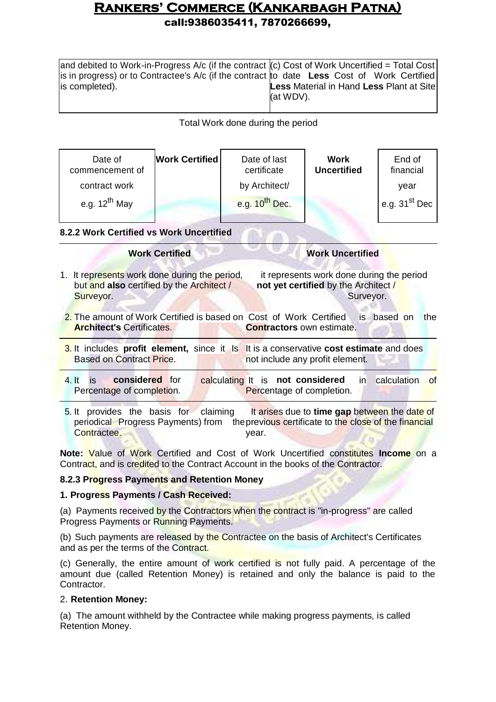| and debited to Work-in-Progress A/c (if the contract $(c)$ Cost of Work Uncertified = Total Cost |                                                 |
|--------------------------------------------------------------------------------------------------|-------------------------------------------------|
| is in progress) or to Contractee's A/c (if the contract to date Less Cost of Work Certified      |                                                 |
| is completed).                                                                                   | <b>Less Material in Hand Less Plant at Site</b> |
|                                                                                                  | (at WDV).                                       |
|                                                                                                  |                                                 |

### Total Work done during the period

| Date of<br>commencement of | <b>Work Certified</b> | Date of last<br>certificate | Work<br><b>Uncertified</b> | End of<br>financial                       |
|----------------------------|-----------------------|-----------------------------|----------------------------|-------------------------------------------|
| contract work              |                       | by Architect/               |                            | vear                                      |
| e.g. $12^{th}$ May         |                       | e.g. $10^{th}$ Dec.         |                            | $^{\mathsf{I}}$ e.g. 31 <sup>st</sup> Dec |

### **8.2.2 Work Certified vs Work Uncertified**

| <b>Work Certified</b>                                                                                                     | <b>Work Uncertified</b>                                                                       |
|---------------------------------------------------------------------------------------------------------------------------|-----------------------------------------------------------------------------------------------|
| 1. It represents work done during the period,<br>but and also certified by the Architect /<br>Surveyor.                   | it represents work done during the period<br>not yet certified by the Architect/<br>Surveyor. |
| 2. The amount of Work Certified is based on Cost of Work Certified<br><b>Architect's Certificates.</b>                    | based on<br>the<br>is.<br><b>Contractors</b> own estimate.                                    |
| 3. It includes profit element, since it Is It is a conservative cost estimate and does<br><b>Based on Contract Price.</b> | not include any profit element.                                                               |
| considered for<br>4.1t<br>is.<br>Percentage of completion.                                                                | calculation<br>calculating It is not considered<br>of<br>in<br>Percentage of completion.      |
| claiming<br>basis for<br>5.1t<br>provides<br>the                                                                          | It arises due to time gap between the date of                                                 |

periodical Progress Payments) from theprevious certificate to the close of the financial Contractee. We are the contracted of the contracted of the contracted of the contracted of the contracted of the contracted of the contracted of the contracted of the contracted of the contracted of the contracted of the c

**Note:** Value of Work Certified and Cost of Work Uncertified constitutes **Income** on a Contract, and is credited to the Contract Account in the books of the Contractor.

### **8.2.3 Progress Payments and Retention Money**

### **1. Progress Payments / Cash Received:**

(a) Payments received by the Contractors when the contract is "in-progress" are called Progress Payments or Running Payments.

(b) Such payments are released by the Contractee on the basis of Architect's Certificates and as per the terms of the Contract.

(c) Generally, the entire amount of work certified is not fully paid. A percentage of the amount due (called Retention Money) is retained and only the balance is paid to the Contractor.

### 2. **Retention Money:**

(a) The amount withheld by the Contractee while making progress payments, is called Retention Money.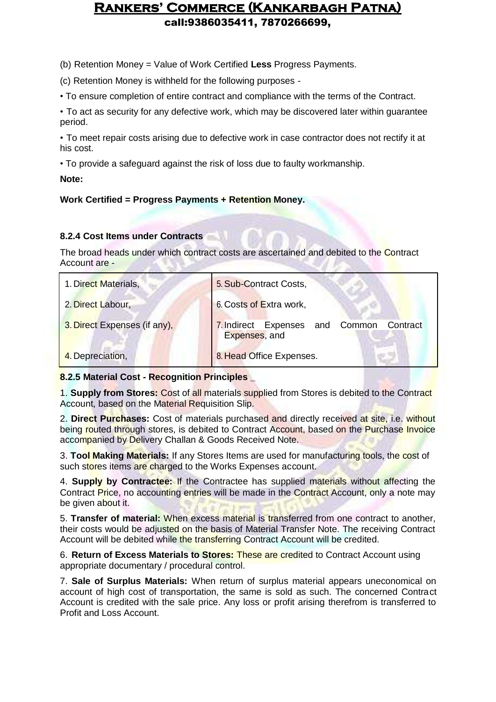(b) Retention Money = Value of Work Certified **Less** Progress Payments.

(c) Retention Money is withheld for the following purposes -

• To ensure completion of entire contract and compliance with the terms of the Contract.

• To act as security for any defective work, which may be discovered later within guarantee period.

• To meet repair costs arising due to defective work in case contractor does not rectify it at his cost.

• To provide a safeguard against the risk of loss due to faulty workmanship.

**Note:**

### **Work Certified = Progress Payments + Retention Money.**

### **8.2.4 Cost Items under Contracts**

The broad heads under which contract costs are ascertained and debited to the Contract Account are -

| 1. Direct Materials,         | 5. Sub-Contract Costs,                                          |
|------------------------------|-----------------------------------------------------------------|
| 2. Direct Labour,            | 6. Costs of Extra work,                                         |
| 3. Direct Expenses (if any), | 7. Indirect Expenses<br>and Common<br>Contract<br>Expenses, and |
| 4. Depreciation,             | 8. Head Office Expenses.                                        |

### **8.2.5 Material Cost - Recognition Principles \_**

1. **Supply from Stores:** Cost of all materials supplied from Stores is debited to the Contract Account, based on the Material Requisition Slip.

2. **Direct Purchases:** Cost of materials purchased and directly received at site, i.e. without being routed through stores, is debited to Contract Account, based on the Purchase Invoice accompanied by Delivery Challan & Goods Received Note.

3. **Tool Making Materials:** If any Stores Items are used for manufacturing tools, the cost of such stores items are charged to the Works Expenses account.

4. **Supply by Contractee:** If the Contractee has supplied materials without affecting the Contract Price, no accounting entries will be made in the Contract Account, only a note may be given about it.

5. **Transfer of material:** When excess material is transferred from one contract to another, their costs would be adjusted on the basis of Material Transfer Note. The receiving Contract Account will be debited while the transferring Contract Account will be credited.

6. **Return of Excess Materials to Stores:** These are credited to Contract Account using appropriate documentary / procedural control.

7. **Sale of Surplus Materials:** When return of surplus material appears uneconomical on account of high cost of transportation, the same is sold as such. The concerned Contract Account is credited with the sale price. Any loss or profit arising therefrom is transferred to Profit and Loss Account.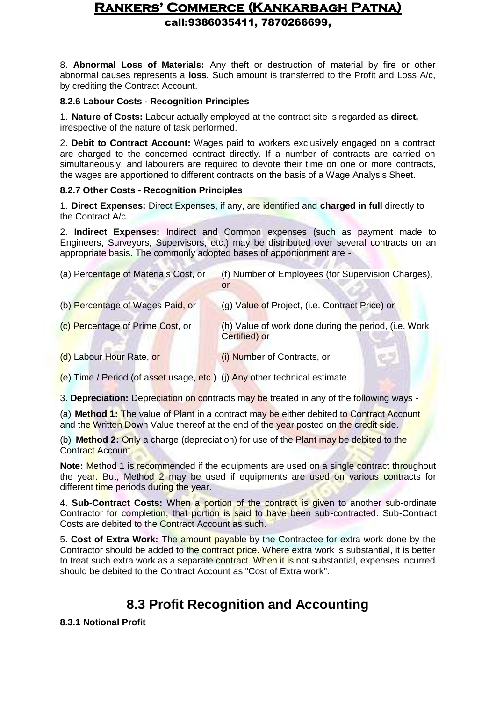8. **Abnormal Loss of Materials:** Any theft or destruction of material by fire or other abnormal causes represents a **loss.** Such amount is transferred to the Profit and Loss A/c, by crediting the Contract Account.

### **8.2.6 Labour Costs - Recognition Principles**

1. **Nature of Costs:** Labour actually employed at the contract site is regarded as **direct,**  irrespective of the nature of task performed.

2. **Debit to Contract Account:** Wages paid to workers exclusively engaged on a contract are charged to the concerned contract directly. If a number of contracts are carried on simultaneously, and labourers are required to devote their time on one or more contracts, the wages are apportioned to different contracts on the basis of a Wage Analysis Sheet.

### **8.2.7 Other Costs - Recognition Principles**

1. **Direct Expenses:** Direct Expenses, if any, are identified and **charged in full** directly to the Contract A/c.

2. **Indirect Expenses:** Indirect and Common expenses (such as payment made to Engineers, Surveyors, Supervisors, etc.) may be distributed over several contracts on an appropriate basis. The commonly adopted bases of apportionment are -

| (a) Percentage of Materials Cost, or | (f) Number of Employees (for Supervision Charges),<br>or              |
|--------------------------------------|-----------------------------------------------------------------------|
| (b) Percentage of Wages Paid, or     | (g) Value of Project, (i.e. Contract Price) or                        |
| (c) Percentage of Prime Cost, or     | (h) Value of work done during the period, (i.e. Work<br>Certified) or |
| (d) Labour Hour Rate, or             | (i) Number of Contracts, or                                           |
|                                      |                                                                       |

(e) Time / Period (of asset usage, etc.) (j) Any other technical estimate.

3. **Depreciation:** Depreciation on contracts may be treated in any of the following ways -

(a) **Method 1:** The value of Plant in a contract may be either debited to Contract Account and the Written Down Value thereof at the end of the year posted on the credit side.

(b) **Method 2:** Only a charge (depreciation) for use of the Plant may be debited to the Contract Account.

**Note:** Method 1 is recommended if the equipments are used on a single contract throughout the year. But, Method 2 may be used if equipments are used on various contracts for different time periods during the year.

4. **Sub-Contract Costs:** When a portion of the contract is given to another sub-ordinate Contractor for completion, that portion is said to have been sub-contracted. Sub-Contract Costs are debited to the Contract Account as such.

5. **Cost of Extra Work:** The amount payable by the Contractee for extra work done by the Contractor should be added to the contract price. Where extra work is substantial, it is better to treat such extra work as a separate contract. When it is not substantial, expenses incurred should be debited to the Contract Account as "Cost of Extra work".

## **8.3 Profit Recognition and Accounting**

### **8.3.1 Notional Profit**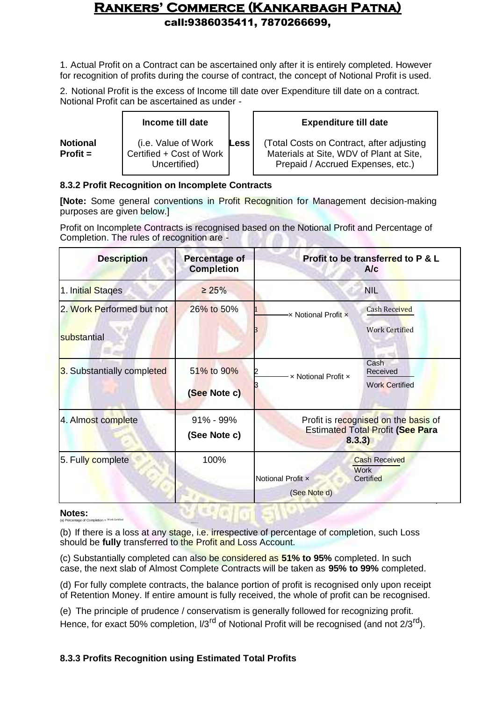1. Actual Profit on a Contract can be ascertained only after it is entirely completed. However for recognition of profits during the course of contract, the concept of Notional Profit is used.

2. Notional Profit is the excess of Income till date over Expenditure till date on a contract. Notional Profit can be ascertained as under -

|                               | Income till date                                                 |             | <b>Expenditure till date</b>                                                                                               |
|-------------------------------|------------------------------------------------------------------|-------------|----------------------------------------------------------------------------------------------------------------------------|
| <b>Notional</b><br>$Profit =$ | (i.e. Value of Work)<br>Certified + Cost of Work<br>Uncertified) | <b>Less</b> | (Total Costs on Contract, after adjusting<br>Materials at Site, WDV of Plant at Site,<br>Prepaid / Accrued Expenses, etc.) |

### **8.3.2 Profit Recognition on Incomplete Contracts**

**[Note:** Some general conventions in Profit Recognition for Management decision-making purposes are given below.]

Profit on Incomplete Contracts is recognised based on the Notional Profit and Percentage of Completion. The rules of recognition are -

| <b>Description</b>                       | <b>Percentage of</b><br><b>Completion</b> | Profit to be transferred to P & L<br>A/c                                                  |
|------------------------------------------|-------------------------------------------|-------------------------------------------------------------------------------------------|
| 1. Initial Stages                        | $\geq 25\%$                               | <b>NIL</b>                                                                                |
| 2. Work Performed but not<br>substantial | 26% to 50%                                | <b>Cash Received</b><br>x Notional Profit x<br><b>Work Certified</b>                      |
| 3. Substantially completed               | 51% to 90%<br>(See Note c)                | Cash<br>Received<br>x Notional Profit x<br><b>Work Certified</b>                          |
| 4. Almost complete                       | 91% - 99%<br>(See Note c)                 | Profit is recognised on the basis of<br><b>Estimated Total Profit (See Para</b><br>8.3.3) |
| 5. Fully complete                        | 100%                                      | <b>Cash Received</b><br><b>Work</b><br>Notional Profit x<br>Certified<br>(See Note d)     |

### **Notes:**

(a) Percentage of Completion = Work Certified

(b) If there is a loss at any stage, i.e. irrespective of percentage of completion, such Loss should be **fully** transferred to the Profit and Loss Account.

(c) Substantially completed can also be considered as **51% to 95%** completed. In such case, the next slab of Almost Complete Contracts will be taken as **95% to 99%** completed.

(d) For fully complete contracts, the balance portion of profit is recognised only upon receipt of Retention Money. If entire amount is fully received, the whole of profit can be recognised.

(e) The principle of prudence / conservatism is generally followed for recognizing profit. Hence, for exact 50% completion,  $1/3^{rd}$  of Notional Profit will be recognised (and not 2/3<sup>rd</sup>).

### **8.3.3 Profits Recognition using Estimated Total Profits**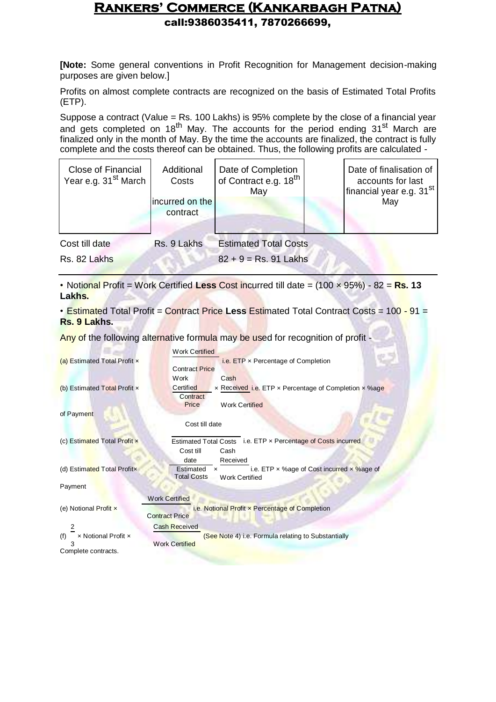**[Note:** Some general conventions in Profit Recognition for Management decision-making purposes are given below.]

Profits on almost complete contracts are recognized on the basis of Estimated Total Profits (ETP).

Suppose a contract (Value = Rs. 100 Lakhs) is 95% complete by the close of a financial year and gets completed on 18<sup>th</sup> May. The accounts for the period ending  $31<sup>st</sup>$  March are finalized only in the month of May. By the time the accounts are finalized, the contract is fully complete and the costs thereof can be obtained. Thus, the following profits are calculated -

| <b>Close of Financial</b><br>Year e.g. 31 <sup>st</sup> March | Additional<br>Costs         | Date of Completion<br>of Contract e.g. 18 <sup>th</sup><br>May | Date of finalisation of<br>accounts for last<br>financial year e.g. 31 <sup>st</sup> |
|---------------------------------------------------------------|-----------------------------|----------------------------------------------------------------|--------------------------------------------------------------------------------------|
|                                                               | incurred on the<br>contract |                                                                | May                                                                                  |
| Cost till date                                                | Rs. 9 Lakhs                 | <b>Estimated Total Costs</b>                                   |                                                                                      |
| Rs. 82 Lakhs                                                  |                             | $82 + 9 = Rs. 91$ Lakhs                                        |                                                                                      |

• Notional Profit = Work Certified **Less** Cost incurred till date = (100 × 95%) - 82 = **Rs. 13 Lakhs.**

• Estimated Total Profit = Contract Price **Less** Estimated Total Contract Costs = 100 - 91 = **Rs. 9 Lakhs.**

Any of the following alternative formula may be used for recognition of profit -

|                              | <b>Work Certified</b>                                                     |
|------------------------------|---------------------------------------------------------------------------|
| (a) Estimated Total Profit x | i.e. ETP x Percentage of Completion                                       |
|                              | <b>Contract Price</b>                                                     |
|                              | Cash<br>Work                                                              |
| (b) Estimated Total Profit x | Certified<br>x Received <i>i.e.</i> ETP x Percentage of Completion x %age |
|                              | Contract                                                                  |
|                              | Price<br><b>Work Certified</b>                                            |
| of Payment                   |                                                                           |
|                              | Cost till date                                                            |
|                              |                                                                           |
| (c) Estimated Total Profit x | Estimated Total Costs i.e. ETP x Percentage of Costs incurred             |
|                              | Cost till<br>Cash                                                         |
|                              | date<br>Received                                                          |
| (d) Estimated Total Profitx  | i.e. ETP $\times$ % age of Cost incurred $\times$ % age of<br>Estimated   |
|                              | <b>Total Costs</b><br><b>Work Certified</b>                               |
| Payment                      |                                                                           |
|                              | <b>Work Certified</b>                                                     |
| (e) Notional Profit x        | i.e. Notional Profit x Percentage of Completion                           |
|                              | <b>Contract Price</b>                                                     |
| 2                            | <b>Cash Received</b>                                                      |
| x Notional Profit x<br>(f)   | (See Note 4) i.e. Formula relating to Substantially                       |
|                              | <b>Work Certified</b>                                                     |
| Complete contracts.          |                                                                           |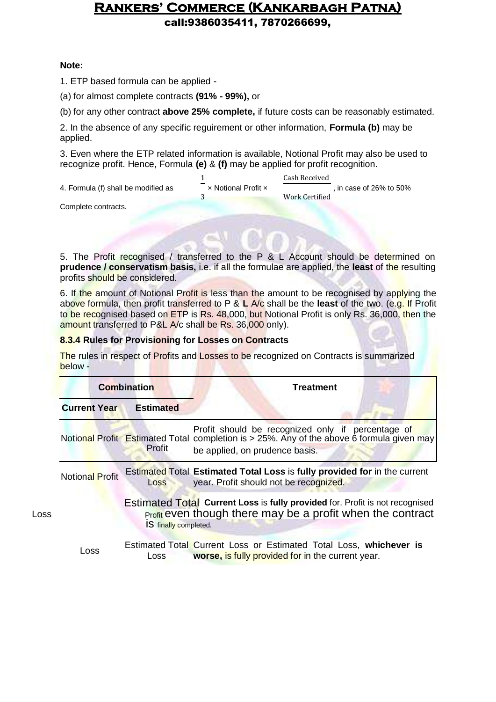call:9386035411, 7870266699,

### **Note:**

1. ETP based formula can be applied -

(a) for almost complete contracts **(91% - 99%),** or

(b) for any other contract **above 25% complete,** if future costs can be reasonably estimated.

2. In the absence of any specific reguirement or other information, **Formula (b)** may be applied.

3. Even where the ETP related information is available, Notional Profit may also be used to recognize profit. Hence, Formula **(e)** & **(f)** may be applied for profit recognition.

|                                     |                          | Cash Received           |
|-------------------------------------|--------------------------|-------------------------|
| 4. Formula (f) shall be modified as | -<br>x Notional Profit x | , in case of 26% to 50% |
|                                     |                          | Work Certified          |
| Cassalata santisata                 |                          |                         |

Complete contracts.

5. The Profit recognised / transferred to the P & L Account should be determined on **prudence / conservatism basis,** i.e. if all the formulae are applied, the **least** of the resulting profits should be considered.

6. If the amount of Notional Profit is less than the amount to be recognised by applying the above formula, then profit transferred to P & **L** A/c shall be the **least** of the two. (e.g. If Profit to be recognised based on ETP is Rs. 48,000, but Notional Profit is only Rs. 36,000, then the amount transferred to P&L A/c shall be Rs. 36,000 only).

### **8.3.4 Rules for Provisioning for Losses on Contracts**

The rules in respect of Profits and Losses to be recognized on Contracts is summarized below -

|      | <b>Combination</b>     |                       | <b>Treatment</b>                                                                                                                                                                 |  |
|------|------------------------|-----------------------|----------------------------------------------------------------------------------------------------------------------------------------------------------------------------------|--|
|      | <b>Current Year</b>    | <b>Estimated</b>      |                                                                                                                                                                                  |  |
|      |                        | Profit                | Profit should be recognized only if percentage of<br>Notional Profit Estimated Total completion is > 25%. Any of the above 6 formula given may<br>be applied, on prudence basis. |  |
|      | <b>Notional Profit</b> | Loss                  | Estimated Total Estimated Total Loss is fully provided for in the current<br>year. Profit should not be recognized.                                                              |  |
| Loss |                        | IS finally completed. | <b>Estimated Total Current Loss is fully provided for. Profit is not recognised</b><br>Profit even though there may be a profit when the contract                                |  |
|      | Loss                   | Loss                  | Estimated Total Current Loss or Estimated Total Loss, whichever is<br>worse, is fully provided for in the current year.                                                          |  |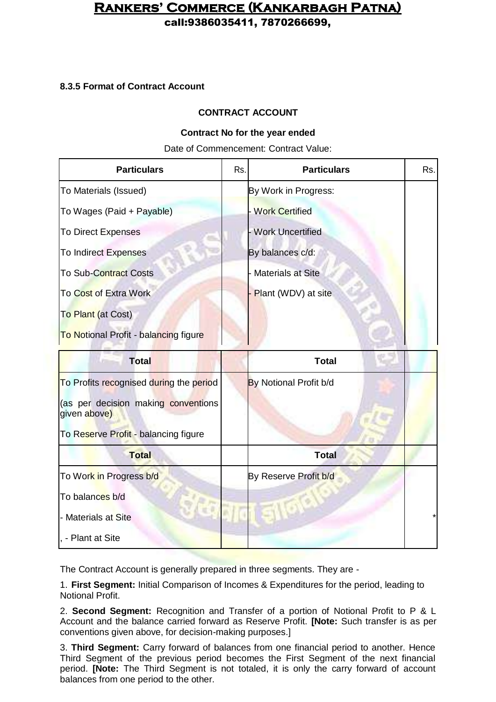call:9386035411, 7870266699,

### **8.3.5 Format of Contract Account**

### **CONTRACT ACCOUNT**

### **Contract No for the year ended**

Date of Commencement: Contract Value:

| <b>Particulars</b>                                  | Rs. | <b>Particulars</b>       | Rs. |
|-----------------------------------------------------|-----|--------------------------|-----|
| To Materials (Issued)                               |     | By Work in Progress:     |     |
| To Wages (Paid + Payable)                           |     | <b>Work Certified</b>    |     |
| <b>To Direct Expenses</b>                           |     | <b>Work Uncertified</b>  |     |
| <b>To Indirect Expenses</b>                         |     | By balances c/d:         |     |
| To Sub-Contract Costs                               |     | <b>Materials at Site</b> |     |
| To Cost of Extra Work                               |     | Plant (WDV) at site      |     |
| To Plant (at Cost)                                  |     |                          |     |
| To Notional Profit - balancing figure               |     |                          |     |
| <b>Total</b>                                        |     | <b>Total</b>             |     |
| To Profits recognised during the period             |     | By Notional Profit b/d   |     |
| (as per decision making conventions<br>given above) |     |                          |     |
| To Reserve Profit - balancing figure                |     |                          |     |
| <b>Total</b>                                        |     | <b>Total</b>             |     |

| <b>Total</b>            | <b>Total</b>          |         |
|-------------------------|-----------------------|---------|
| To Work in Progress b/d | By Reserve Profit b/d |         |
| To balances b/d         |                       |         |
| - Materials at Site     |                       | $\star$ |
| , - Plant at Site       |                       |         |

The Contract Account is generally prepared in three segments. They are -

1. **First Segment:** Initial Comparison of Incomes & Expenditures for the period, leading to Notional Profit.

2. **Second Segment:** Recognition and Transfer of a portion of Notional Profit to P & L Account and the balance carried forward as Reserve Profit. **[Note:** Such transfer is as per conventions given above, for decision-making purposes.]

3. **Third Segment:** Carry forward of balances from one financial period to another. Hence Third Segment of the previous period becomes the First Segment of the next financial period. **[Note:** The Third Segment is not totaled, it is only the carry forward of account balances from one period to the other.